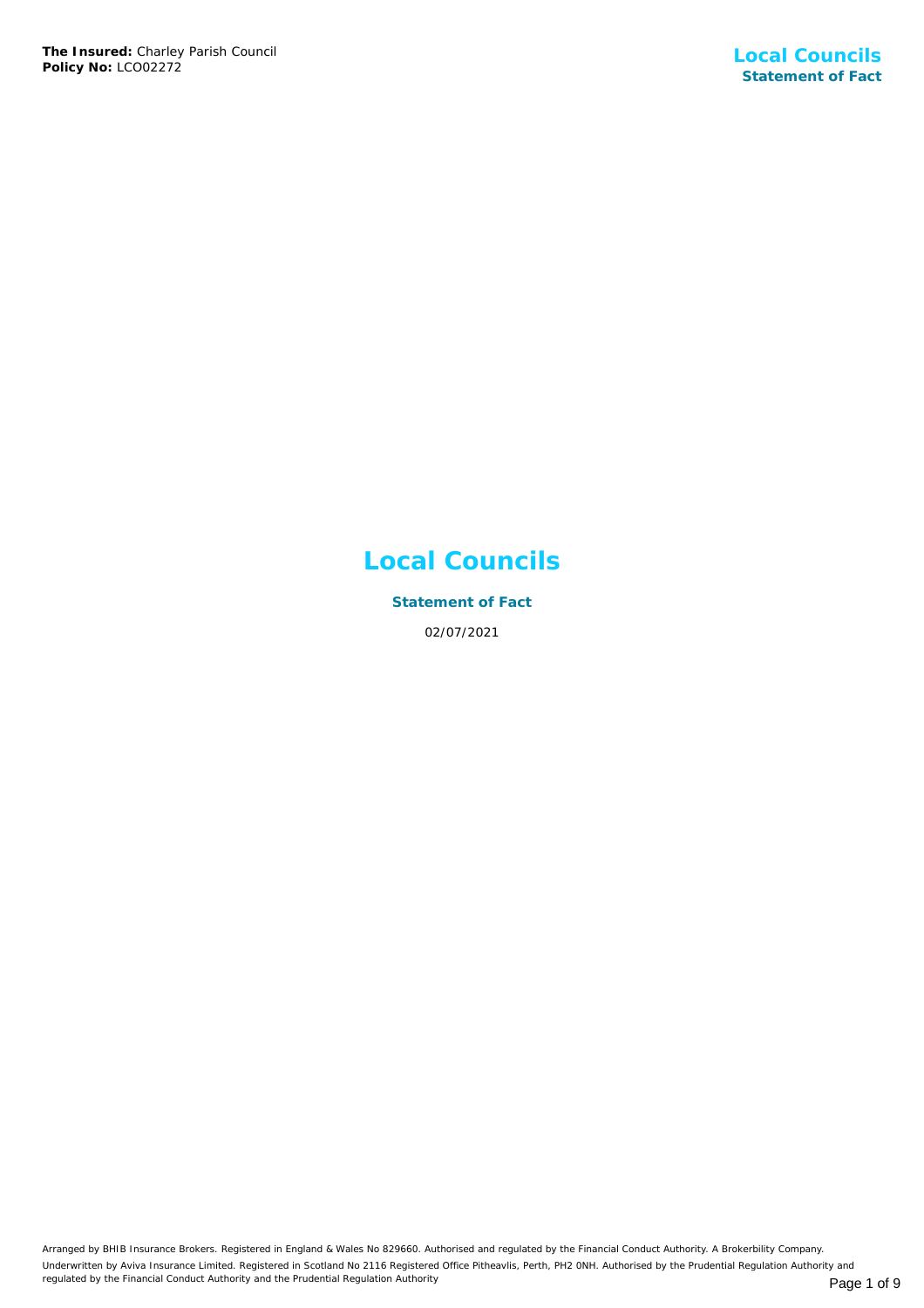# **Local Councils**

**Statement of Fact** 02/07/2021

Arranged by BHIB Insurance Brokers. Registered in England & Wales No 829660. Authorised and regulated by the Financial Conduct Authority. A Brokerbility Company. Underwritten by Aviva Insurance Limited. Registered in Scotland No 2116 Registered Office Pitheavlis, Perth, PH2 0NH. Authorised by the Prudential Regulation Authority and regulated by the Financial Conduct Authority and the Prudential Regulation Authority **Page 1 of 9** Page 1 of 9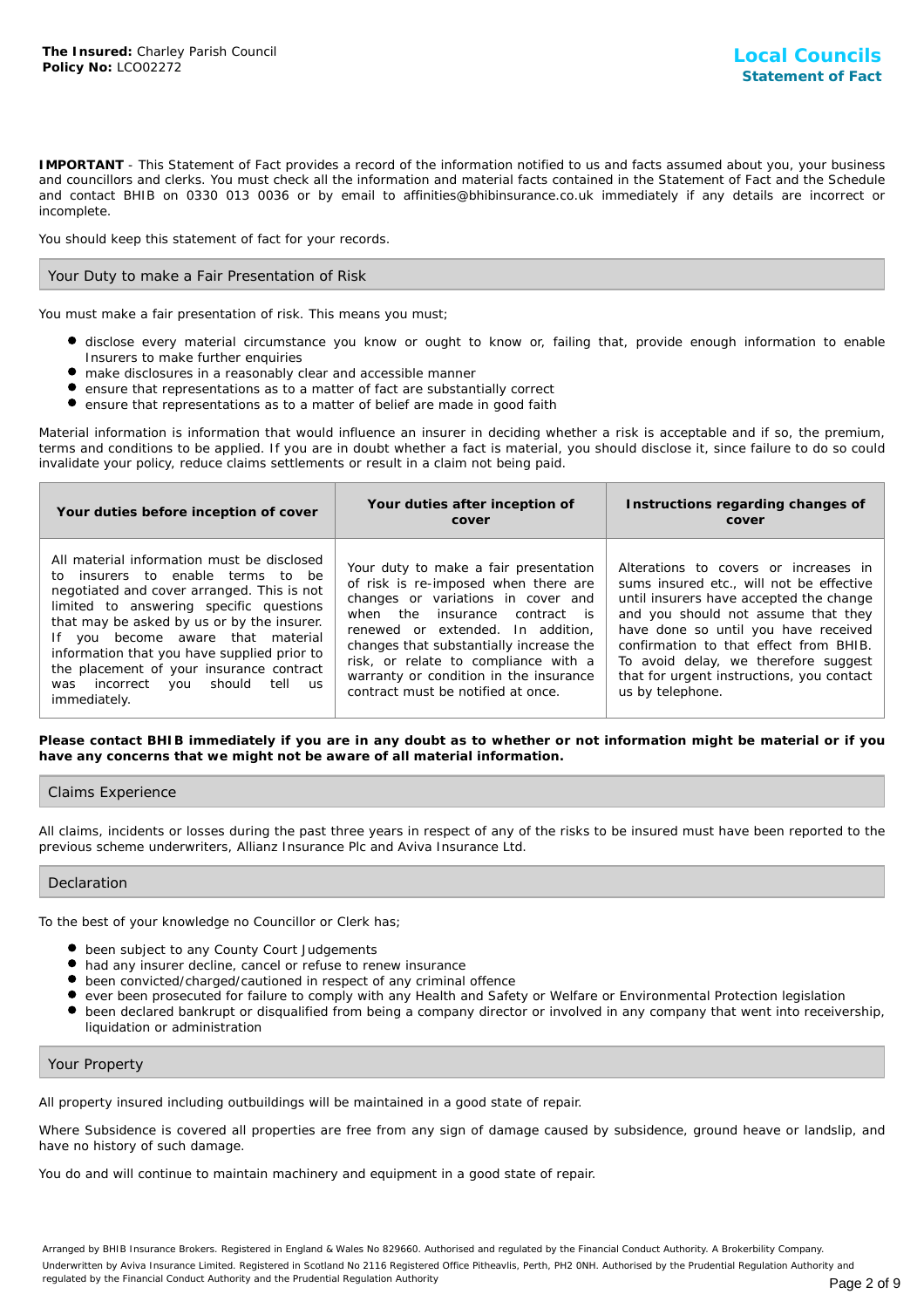**IMPORTANT** - This Statement of Fact provides a record of the information notified to us and facts assumed about you, your business and councillors and clerks. You must check all the information and material facts contained in the Statement of Fact and the Schedule and contact BHIB on 0330 013 0036 or by email to affinities@bhibinsurance.co.uk immediately if any details are incorrect or incomplete.

You should keep this statement of fact for your records.

# Your Duty to make a Fair Presentation of Risk

You must make a fair presentation of risk. This means you must;

- disclose every material circumstance you know or ought to know or, failing that, provide enough information to enable Insurers to make further enquiries
- make disclosures in a reasonably clear and accessible manner
- ensure that representations as to a matter of fact are substantially correct
- $\bullet$ ensure that representations as to a matter of belief are made in good faith

Material information is information that would influence an insurer in deciding whether a risk is acceptable and if so, the premium, terms and conditions to be applied. If you are in doubt whether a fact is material, you should disclose it, since failure to do so could invalidate your policy, reduce claims settlements or result in a claim not being paid.

| Your duties before inception of cover                                                                                                                                                                                                                                                                                                                                                                                            | Your duties after inception of<br>cover                                                                                                                                                                                                                                                                                                                       | Instructions regarding changes of<br>cover                                                                                                                                                                                                                                                                                                                     |
|----------------------------------------------------------------------------------------------------------------------------------------------------------------------------------------------------------------------------------------------------------------------------------------------------------------------------------------------------------------------------------------------------------------------------------|---------------------------------------------------------------------------------------------------------------------------------------------------------------------------------------------------------------------------------------------------------------------------------------------------------------------------------------------------------------|----------------------------------------------------------------------------------------------------------------------------------------------------------------------------------------------------------------------------------------------------------------------------------------------------------------------------------------------------------------|
| All material information must be disclosed<br>to insurers to enable terms to be<br>negotiated and cover arranged. This is not<br>limited to answering specific questions<br>that may be asked by us or by the insurer.<br>If you become aware that material<br>information that you have supplied prior to<br>the placement of your insurance contract<br>tell<br>should<br>incorrect<br>you<br>was<br><b>US</b><br>immediately. | Your duty to make a fair presentation<br>of risk is re-imposed when there are<br>changes or variations in cover and<br>when the insurance contract is<br>renewed or extended. In addition.<br>changes that substantially increase the<br>risk, or relate to compliance with a<br>warranty or condition in the insurance<br>contract must be notified at once. | Alterations to covers or increases in<br>sums insured etc., will not be effective<br>until insurers have accepted the change<br>and you should not assume that they<br>have done so until you have received<br>confirmation to that effect from BHIB.<br>To avoid delay, we therefore suggest<br>that for urgent instructions, you contact<br>us by telephone. |

**Please contact BHIB immediately if you are in any doubt as to whether or not information might be material or if you have any concerns that we might not be aware of all material information.**

# Claims Experience

All claims, incidents or losses during the past three years in respect of any of the risks to be insured must have been reported to the previous scheme underwriters, Allianz Insurance Plc and Aviva Insurance Ltd.

# Declaration

To the best of your knowledge no Councillor or Clerk has;

- $\bullet$  been subject to any County Court Judgements
- $\bullet$  had any insurer decline, cancel or refuse to renew insurance
- been convicted/charged/cautioned in respect of any criminal offence
- ever been prosecuted for failure to comply with any Health and Safety or Welfare or Environmental Protection legislation
- $\bullet$ been declared bankrupt or disqualified from being a company director or involved in any company that went into receivership, liquidation or administration

# Your Property

All property insured including outbuildings will be maintained in a good state of repair.

Where Subsidence is covered all properties are free from any sign of damage caused by subsidence, ground heave or landslip, and have no history of such damage.

You do and will continue to maintain machinery and equipment in a good state of repair.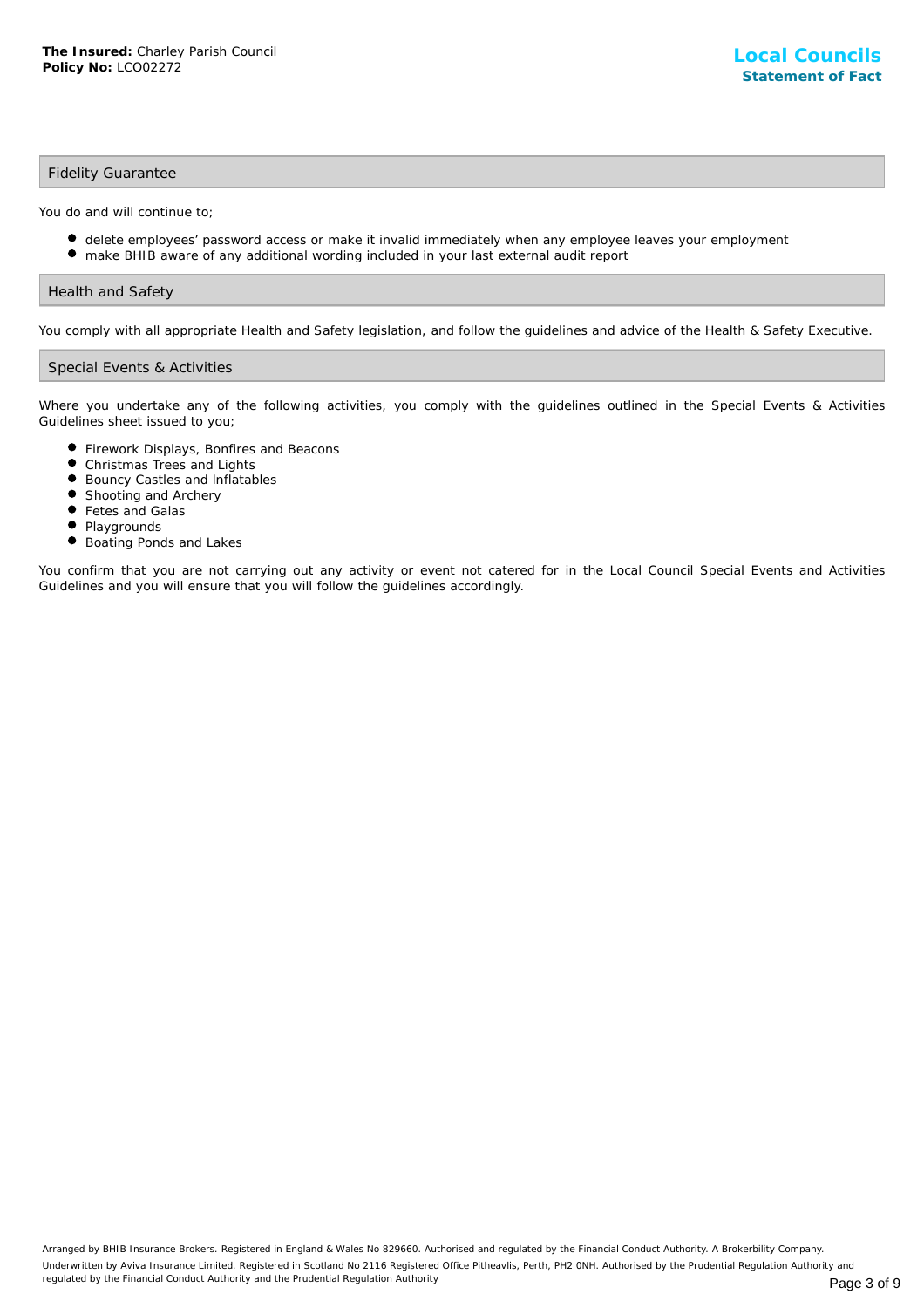# Fidelity Guarantee

You do and will continue to;

- delete employees' password access or make it invalid immediately when any employee leaves your employment
- make BHIB aware of any additional wording included in your last external audit report

# Health and Safety

You comply with all appropriate Health and Safety legislation, and follow the guidelines and advice of the Health & Safety Executive.

# Special Events & Activities

Where you undertake any of the following activities, you comply with the guidelines outlined in the Special Events & Activities Guidelines sheet issued to you;

- Firework Displays, Bonfires and Beacons
- Christmas Trees and Lights
- $\bullet$ Bouncy Castles and lnflatables
- **•** Shooting and Archery
- Fetes and Galas  $\bullet$
- Playgrounds
- Boating Ponds and Lakes

You confirm that you are not carrying out any activity or event not catered for in the Local Council Special Events and Activities Guidelines and you will ensure that you will follow the guidelines accordingly.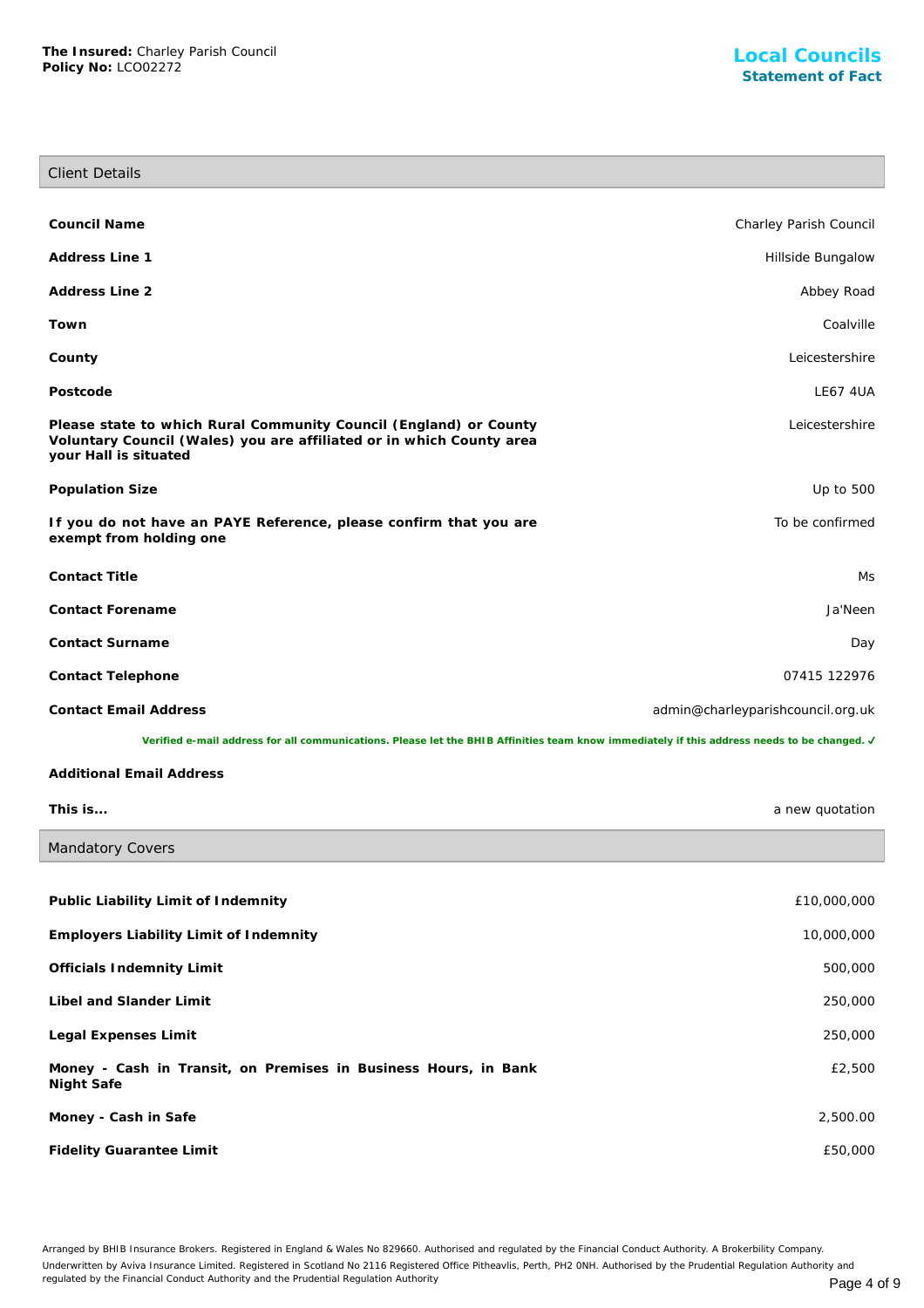I

| <b>Client Details</b>                                                                                                                                              |                                   |
|--------------------------------------------------------------------------------------------------------------------------------------------------------------------|-----------------------------------|
|                                                                                                                                                                    |                                   |
| Council Name                                                                                                                                                       | Charley Parish Council            |
| Address Line 1                                                                                                                                                     | Hillside Bungalow                 |
| Address Line 2                                                                                                                                                     | Abbey Road                        |
| Town                                                                                                                                                               | Coalville                         |
| County                                                                                                                                                             | Leicestershire                    |
| Postcode                                                                                                                                                           | <b>LE67 4UA</b>                   |
| Please state to which Rural Community Council (England) or County<br>Voluntary Council (Wales) you are affiliated or in which County area<br>your Hall is situated | Leicestershire                    |
| Population Size                                                                                                                                                    | Up to 500                         |
| If you do not have an PAYE Reference, please confirm that you are<br>exempt from holding one                                                                       | To be confirmed                   |
| <b>Contact Title</b>                                                                                                                                               | Ms                                |
| Contact Forename                                                                                                                                                   | Ja'Neen                           |
| Contact Surname                                                                                                                                                    | Day                               |
| Contact Telephone                                                                                                                                                  | 07415 122976                      |
| <b>Contact Email Address</b>                                                                                                                                       | admin@charleyparishcouncil.org.uk |
| Verified e-mail address for all communications. Please let the BHIB Affinities team know immediately if this address needs to be changed. J                        |                                   |
| <b>Additional Email Address</b>                                                                                                                                    |                                   |
| This is                                                                                                                                                            | a new quotation                   |
| Mandatory Covers                                                                                                                                                   |                                   |
|                                                                                                                                                                    |                                   |
| Public Liability Limit of Indemnity                                                                                                                                | £10,000,000                       |
| <b>Employers Liability Limit of Indemnity</b>                                                                                                                      | 10,000,000                        |

| Employers Liability Limit of machinity                                        | 10,000,000 |
|-------------------------------------------------------------------------------|------------|
| Officials Indemnity Limit                                                     | 500,000    |
| Libel and Slander Limit                                                       | 250,000    |
| Legal Expenses Limit                                                          | 250,000    |
| Money - Cash in Transit, on Premises in Business Hours, in Bank<br>Night Safe | £2,500     |
| Money - Cash in Safe                                                          | 2,500.00   |
| Fidelity Guarantee Limit                                                      | £50,000    |

Arranged by BHIB Insurance Brokers. Registered in England & Wales No 829660. Authorised and regulated by the Financial Conduct Authority. A Brokerbility Company. Underwritten by Aviva Insurance Limited. Registered in Scotland No 2116 Registered Office Pitheavlis, Perth, PH2 0NH. Authorised by the Prudential Regulation Authority and regulated by the Financial Conduct Authority and the Prudential Regulation Authority **Page 4 of 9**  $P$  and  $P$  and  $P$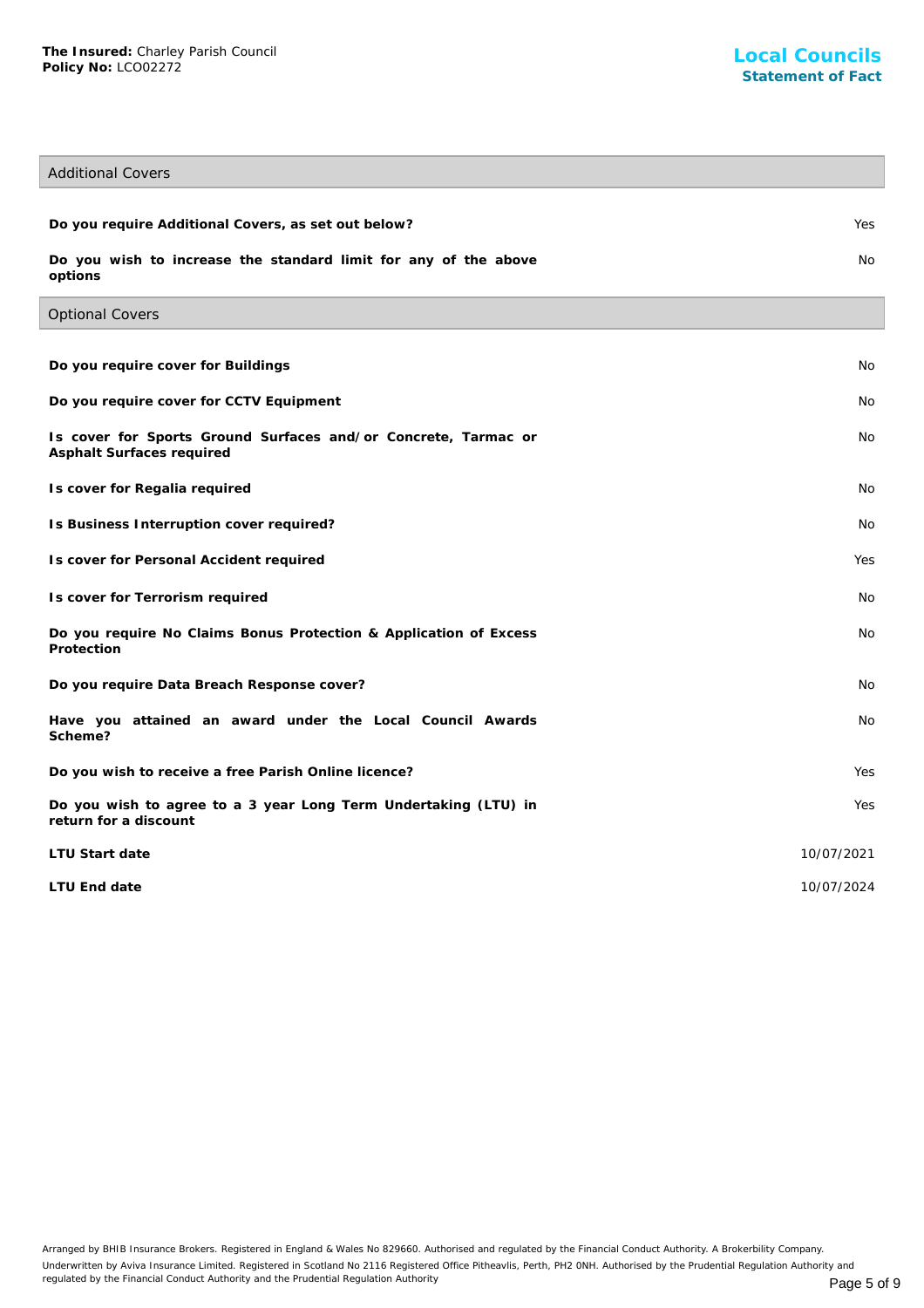# Additional Covers

Optional Covers

| Do you require Additional Covers, as set out below?                        | Yes |
|----------------------------------------------------------------------------|-----|
| Do you wish to increase the standard limit for any of the above<br>options | No. |

| Do you require cover for Buildings                                                          | <b>No</b>  |
|---------------------------------------------------------------------------------------------|------------|
| Do you require cover for CCTV Equipment                                                     | <b>No</b>  |
| Is cover for Sports Ground Surfaces and/or Concrete, Tarmac or<br>Asphalt Surfaces required | No         |
| Is cover for Regalia required                                                               | <b>No</b>  |
| Is Business Interruption cover required?                                                    | No         |
| Is cover for Personal Accident required                                                     | Yes        |
| Is cover for Terrorism required                                                             | <b>No</b>  |
| Do you require No Claims Bonus Protection & Application of Excess<br>Protection             | <b>No</b>  |
| Do you require Data Breach Response cover?                                                  | <b>No</b>  |
| Have you attained an award under the Local Council Awards<br>Scheme?                        | <b>No</b>  |
| Do you wish to receive a free Parish Online licence?                                        | Yes        |
| Do you wish to agree to a 3 year Long Term Undertaking (LTU) in<br>return for a discount    | Yes        |
| LTU Start date                                                                              | 10/07/2021 |
| LTU End date                                                                                | 10/07/2024 |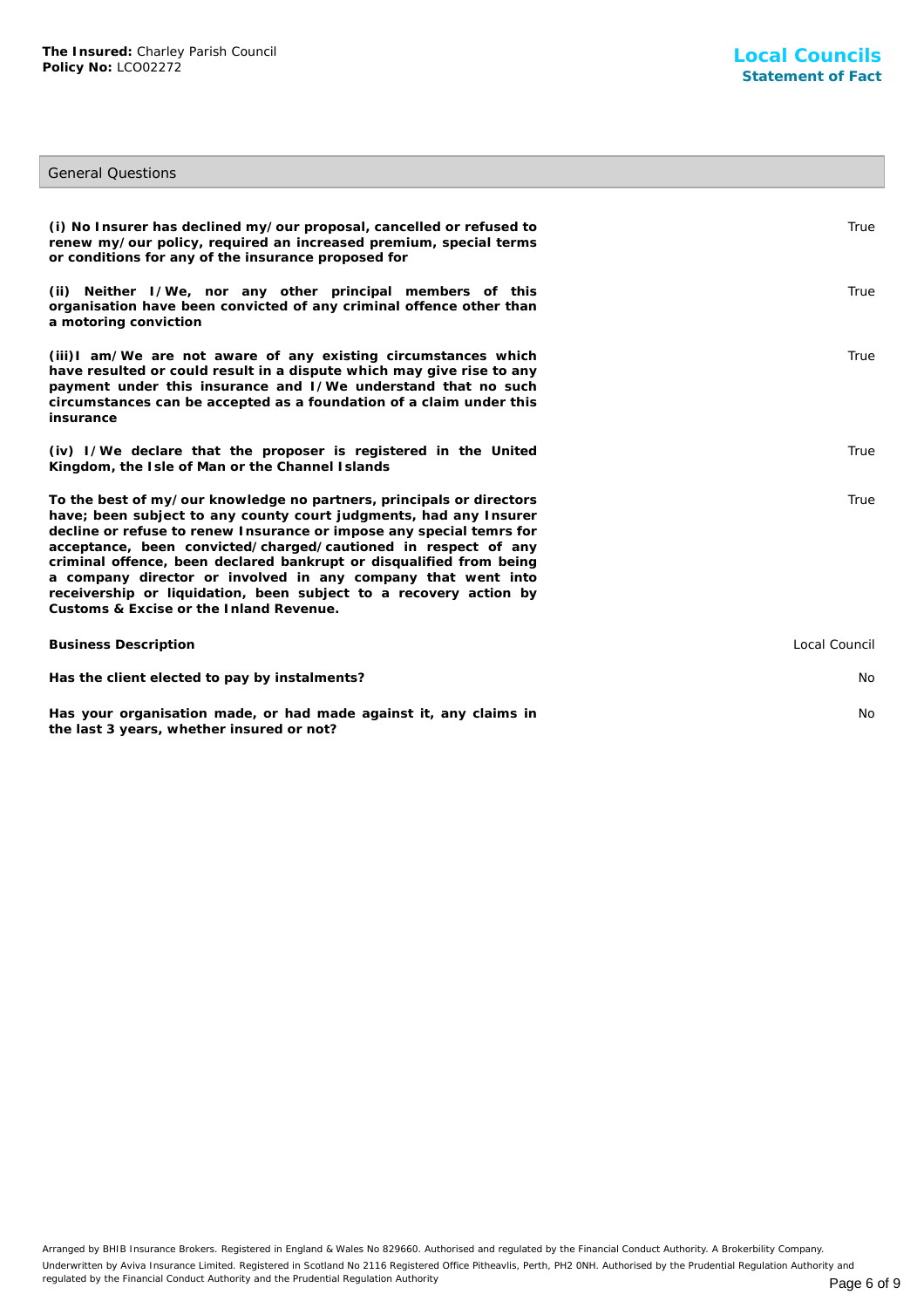**the last 3 years, whether insured or not?**

# General Questions

| (i) No Insurer has declined my/our proposal, cancelled or refused to<br>renew my/our policy, required an increased premium, special terms<br>or conditions for any of the insurance proposed for                                                                                                                                                                                                                                                                                                                                           | True          |
|--------------------------------------------------------------------------------------------------------------------------------------------------------------------------------------------------------------------------------------------------------------------------------------------------------------------------------------------------------------------------------------------------------------------------------------------------------------------------------------------------------------------------------------------|---------------|
| (ii) Neither I/We, nor any other principal members of this<br>organisation have been convicted of any criminal offence other than<br>a motoring conviction                                                                                                                                                                                                                                                                                                                                                                                 | True          |
| (iii)I am/We are not aware of any existing circumstances which<br>have resulted or could result in a dispute which may give rise to any<br>payment under this insurance and I/We understand that no such<br>circumstances can be accepted as a foundation of a claim under this<br>insurance                                                                                                                                                                                                                                               | True          |
| (iv) I/We declare that the proposer is registered in the United<br>Kingdom, the Isle of Man or the Channel Islands                                                                                                                                                                                                                                                                                                                                                                                                                         | True          |
| To the best of my/our knowledge no partners, principals or directors<br>have; been subject to any county court judgments, had any Insurer<br>decline or refuse to renew Insurance or impose any special temrs for<br>acceptance, been convicted/charged/cautioned in respect of any<br>criminal offence, been declared bankrupt or disqualified from being<br>a company director or involved in any company that went into<br>receivership or liquidation, been subject to a recovery action by<br>Customs & Excise or the Inland Revenue. | True          |
| <b>Business Description</b>                                                                                                                                                                                                                                                                                                                                                                                                                                                                                                                | Local Council |
| Has the client elected to pay by instalments?                                                                                                                                                                                                                                                                                                                                                                                                                                                                                              | <b>No</b>     |
| Has your organisation made, or had made against it, any claims in                                                                                                                                                                                                                                                                                                                                                                                                                                                                          | No.           |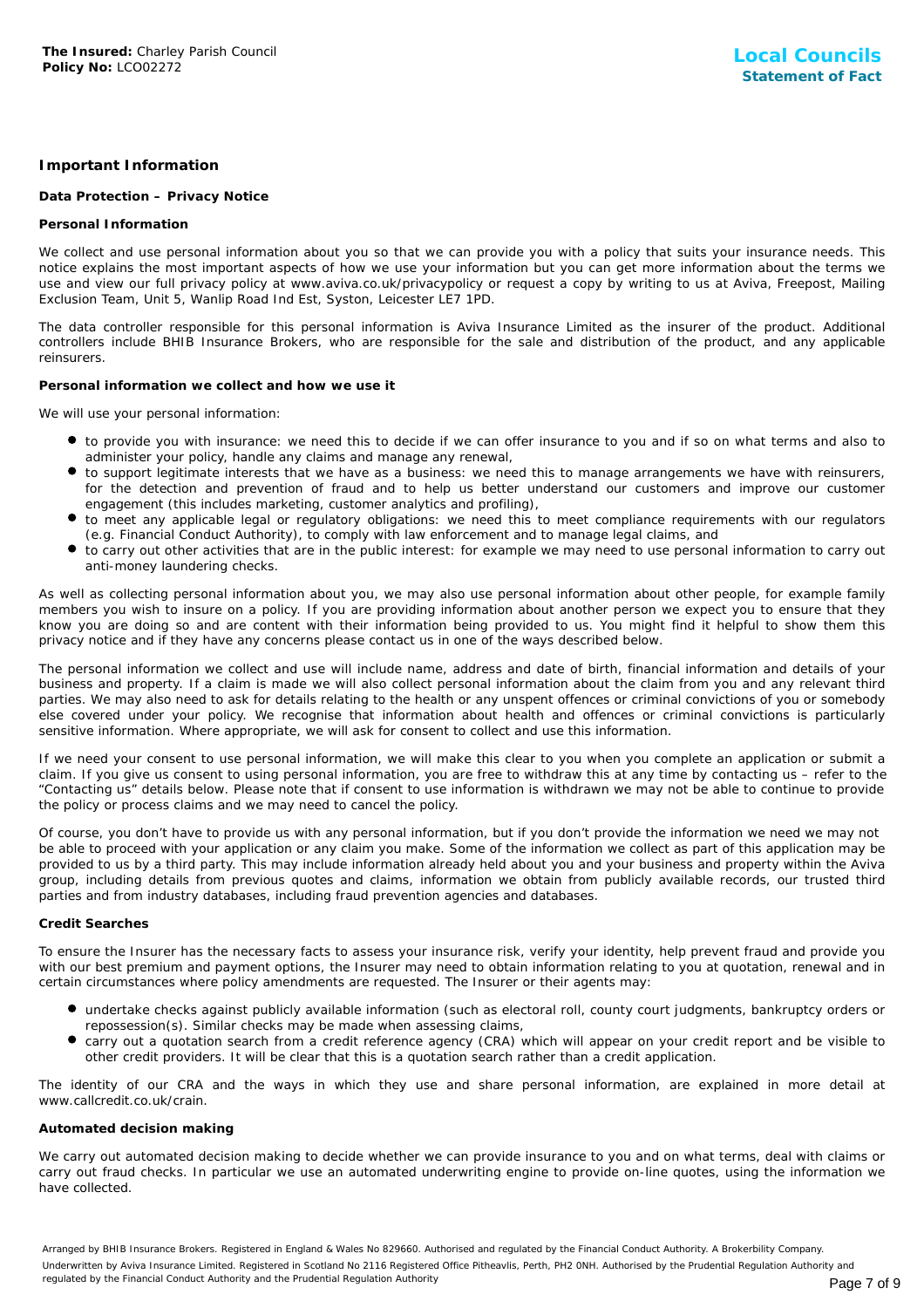# **Important Information**

# **Data Protection – Privacy Notice**

#### **Personal Information**

We collect and use personal information about you so that we can provide you with a policy that suits your insurance needs. This notice explains the most important aspects of how we use your information but you can get more information about the terms we use and view our full privacy policy at www.aviva.co.uk/privacypolicy or request a copy by writing to us at Aviva, Freepost, Mailing Exclusion Team, Unit 5, Wanlip Road Ind Est, Syston, Leicester LE7 1PD.

The data controller responsible for this personal information is Aviva Insurance Limited as the insurer of the product. Additional controllers include BHIB Insurance Brokers, who are responsible for the sale and distribution of the product, and any applicable reinsurers.

#### **Personal information we collect and how we use it**

We will use your personal information:

- to provide you with insurance: we need this to decide if we can offer insurance to you and if so on what terms and also to administer your policy, handle any claims and manage any renewal,
- to support legitimate interests that we have as a business: we need this to manage arrangements we have with reinsurers, for the detection and prevention of fraud and to help us better understand our customers and improve our customer engagement (this includes marketing, customer analytics and profiling),
- to meet any applicable legal or regulatory obligations: we need this to meet compliance requirements with our regulators (e.g. Financial Conduct Authority), to comply with law enforcement and to manage legal claims, and
- to carry out other activities that are in the public interest: for example we may need to use personal information to carry out anti-money laundering checks.

As well as collecting personal information about you, we may also use personal information about other people, for example family members you wish to insure on a policy. If you are providing information about another person we expect you to ensure that they know you are doing so and are content with their information being provided to us. You might find it helpful to show them this privacy notice and if they have any concerns please contact us in one of the ways described below.

The personal information we collect and use will include name, address and date of birth, financial information and details of your business and property. If a claim is made we will also collect personal information about the claim from you and any relevant third parties. We may also need to ask for details relating to the health or any unspent offences or criminal convictions of you or somebody else covered under your policy. We recognise that information about health and offences or criminal convictions is particularly sensitive information. Where appropriate, we will ask for consent to collect and use this information.

If we need your consent to use personal information, we will make this clear to you when you complete an application or submit a claim. If you give us consent to using personal information, you are free to withdraw this at any time by contacting us – refer to the "Contacting us" details below. Please note that if consent to use information is withdrawn we may not be able to continue to provide the policy or process claims and we may need to cancel the policy.

Of course, you don't have to provide us with any personal information, but if you don't provide the information we need we may not be able to proceed with your application or any claim you make. Some of the information we collect as part of this application may be provided to us by a third party. This may include information already held about you and your business and property within the Aviva group, including details from previous quotes and claims, information we obtain from publicly available records, our trusted third parties and from industry databases, including fraud prevention agencies and databases.

# **Credit Searches**

To ensure the Insurer has the necessary facts to assess your insurance risk, verify your identity, help prevent fraud and provide you with our best premium and payment options, the Insurer may need to obtain information relating to you at quotation, renewal and in certain circumstances where policy amendments are requested. The Insurer or their agents may:

- undertake checks against publicly available information (such as electoral roll, county court judgments, bankruptcy orders or repossession(s). Similar checks may be made when assessing claims,
- **•** carry out a quotation search from a credit reference agency (CRA) which will appear on your credit report and be visible to other credit providers. It will be clear that this is a quotation search rather than a credit application.

The identity of our CRA and the ways in which they use and share personal information, are explained in more detail at www.callcredit.co.uk/crain.

# **Automated decision making**

We carry out automated decision making to decide whether we can provide insurance to you and on what terms, deal with claims or carry out fraud checks. In particular we use an automated underwriting engine to provide on-line quotes, using the information we have collected.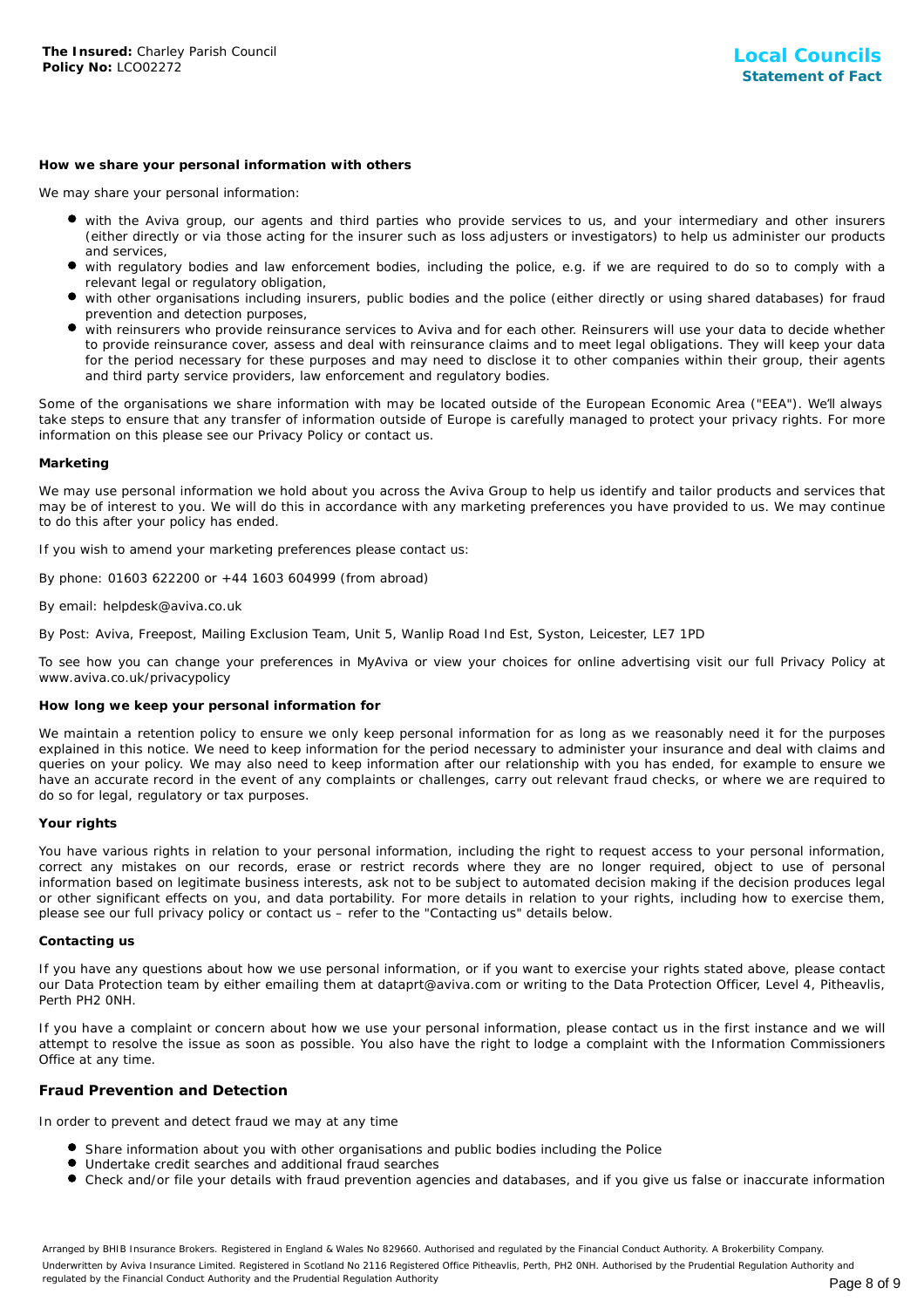#### **How we share your personal information with others**

We may share your personal information:

- with the Aviva group, our agents and third parties who provide services to us, and your intermediary and other insurers (either directly or via those acting for the insurer such as loss adjusters or investigators) to help us administer our products and services,
- with regulatory bodies and law enforcement bodies, including the police, e.g. if we are required to do so to comply with a relevant legal or regulatory obligation,
- with other organisations including insurers, public bodies and the police (either directly or using shared databases) for fraud prevention and detection purposes,
- with reinsurers who provide reinsurance services to Aviva and for each other. Reinsurers will use your data to decide whether to provide reinsurance cover, assess and deal with reinsurance claims and to meet legal obligations. They will keep your data for the period necessary for these purposes and may need to disclose it to other companies within their group, their agents and third party service providers, law enforcement and regulatory bodies.

Some of the organisations we share information with may be located outside of the European Economic Area ("EEA"). We'll always take steps to ensure that any transfer of information outside of Europe is carefully managed to protect your privacy rights. For more information on this please see our Privacy Policy or contact us.

#### **Marketing**

We may use personal information we hold about you across the Aviva Group to help us identify and tailor products and services that may be of interest to you. We will do this in accordance with any marketing preferences you have provided to us. We may continue to do this after your policy has ended.

If you wish to amend your marketing preferences please contact us:

By phone: 01603 622200 or +44 1603 604999 (from abroad)

#### By email: helpdesk@aviva.co.uk

By Post: Aviva, Freepost, Mailing Exclusion Team, Unit 5, Wanlip Road Ind Est, Syston, Leicester, LE7 1PD

To see how you can change your preferences in MyAviva or view your choices for online advertising visit our full Privacy Policy at www.aviva.co.uk/privacypolicy

#### **How long we keep your personal information for**

We maintain a retention policy to ensure we only keep personal information for as long as we reasonably need it for the purposes explained in this notice. We need to keep information for the period necessary to administer your insurance and deal with claims and queries on your policy. We may also need to keep information after our relationship with you has ended, for example to ensure we have an accurate record in the event of any complaints or challenges, carry out relevant fraud checks, or where we are required to do so for legal, regulatory or tax purposes.

#### **Your rights**

You have various rights in relation to your personal information, including the right to request access to your personal information, correct any mistakes on our records, erase or restrict records where they are no longer required, object to use of personal information based on legitimate business interests, ask not to be subject to automated decision making if the decision produces legal or other significant effects on you, and data portability. For more details in relation to your rights, including how to exercise them, please see our full privacy policy or contact us – refer to the "Contacting us" details below.

#### **Contacting us**

If you have any questions about how we use personal information, or if you want to exercise your rights stated above, please contact our Data Protection team by either emailing them at dataprt@aviva.com or writing to the Data Protection Officer, Level 4, Pitheavlis, Perth PH2 0NH.

If you have a complaint or concern about how we use your personal information, please contact us in the first instance and we will attempt to resolve the issue as soon as possible. You also have the right to lodge a complaint with the Information Commissioners Office at any time.

# **Fraud Prevention and Detection**

In order to prevent and detect fraud we may at any time

- Share information about you with other organisations and public bodies including the Police
- Undertake credit searches and additional fraud searches
- Check and/or file your details with fraud prevention agencies and databases, and if you give us false or inaccurate information